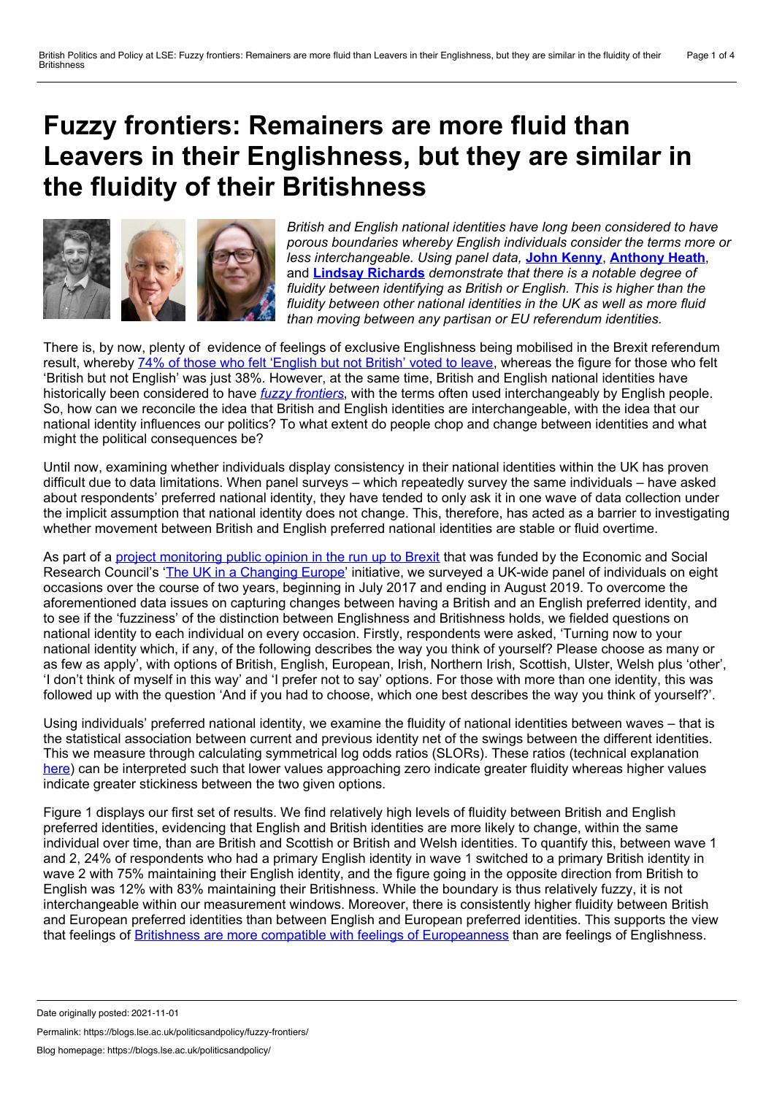## <span id="page-0-0"></span>**Fuzzy frontiers: Remainers are more fluid than Leavers in their Englishness, but they are similar in the fluidity of their Britishness**



*British and English national identities have long been considered to have porous boundaries whereby English individuals consider the terms more or less interchangeable. Using panel data,* **John [Kenny](#page-0-0)**, **[Anthony](#page-0-0) Heath**, and **Lindsay [Richards](#page-0-0)** *demonstrate that there is a notable degree of fluidity between identifying as British or English. This is higher than the fluidity between other national identities in the UK as well as more fluid than moving between any partisan or EU referendum identities.*

There is, by now, plenty of evidence of feelings of exclusive Englishness being mobilised in the Brexit referendum result, whereby 74% of those who felt ['English](https://www.bsa.natcen.ac.uk/media/39149/bsa34_brexit_final.pdf) but not British' voted to leave, whereas the figure for those who felt 'British but not English' was just 38%. However, at the same time, British and English national identities have historically been considered to have *fuzzy [frontiers](https://warwick.ac.uk/fac/soc/sociology/staff/cohenr/research/papers/fuzzy.pdf)*, with the terms often used interchangeably by English people. So, how can we reconcile the idea that British and English identities are interchangeable, with the idea that our national identity influences our politics? To what extent do people chop and change between identities and what might the political consequences be?

Until now, examining whether individuals display consistency in their national identities within the UK has proven difficult due to data limitations. When panel surveys – which repeatedly survey the same individuals – have asked about respondents' preferred national identity, they have tended to only ask it in one wave of data collection under the implicit assumption that national identity does not change. This, therefore, has acted as a barrier to investigating whether movement between British and English preferred national identities are stable or fluid overtime.

As part of a project [monitoring](http://csi.nuff.ox.ac.uk/?page_id=960) public opinion in the run up to Brexit that was funded by the Economic and Social Research Council's 'The UK in a [Changing](https://ukandeu.ac.uk/) Europe' initiative, we surveyed a UK-wide panel of individuals on eight occasions over the course of two years, beginning in July 2017 and ending in August 2019. To overcome the aforementioned data issues on capturing changes between having a British and an English preferred identity, and to see if the 'fuzziness' of the distinction between Englishness and Britishness holds, we fielded questions on national identity to each individual on every occasion. Firstly, respondents were asked, 'Turning now to your national identity which, if any, of the following describes the way you think of yourself? Please choose as many or as few as apply', with options of British, English, European, Irish, Northern Irish, Scottish, Ulster, Welsh plus 'other', 'I don't think of myself in this way' and 'I prefer not to say' options. For those with more than one identity, this was followed up with the question 'And if you had to choose, which one best describes the way you think of yourself?'.

Using individuals' preferred national identity, we examine the fluidity of national identities between waves – that is the statistical association between current and previous identity net of the swings between the different identities. This we measure through calculating symmetrical log odds ratios (SLORs). These ratios (technical explanation [here](http://www.nuff.ox.ac.uk/Politics/papers/2002/w21/FisherSwyngedouw.pdf)) can be interpreted such that lower values approaching zero indicate greater fluidity whereas higher values indicate greater stickiness between the two given options.

Figure 1 displays our first set of results. We find relatively high levels of fluidity between British and English preferred identities, evidencing that English and British identities are more likely to change, within the same individual over time, than are British and Scottish or British and Welsh identities. To quantify this, between wave 1 and 2, 24% of respondents who had a primary English identity in wave 1 switched to a primary British identity in wave 2 with 75% maintaining their English identity, and the figure going in the opposite direction from British to English was 12% with 83% maintaining their Britishness. While the boundary is thus relatively fuzzy, it is not interchangeable within our measurement windows. Moreover, there is consistently higher fluidity between British and European preferred identities than between English and European preferred identities. This supports the view that feelings of Britishness are more compatible with feelings of [Europeanness](https://blogs.lse.ac.uk/brexit/2019/02/14/is-it-the-english-question-or-the-british-question-the-three-strands-of-britishness/) than are feelings of Englishness.

Date originally posted: 2021-11-01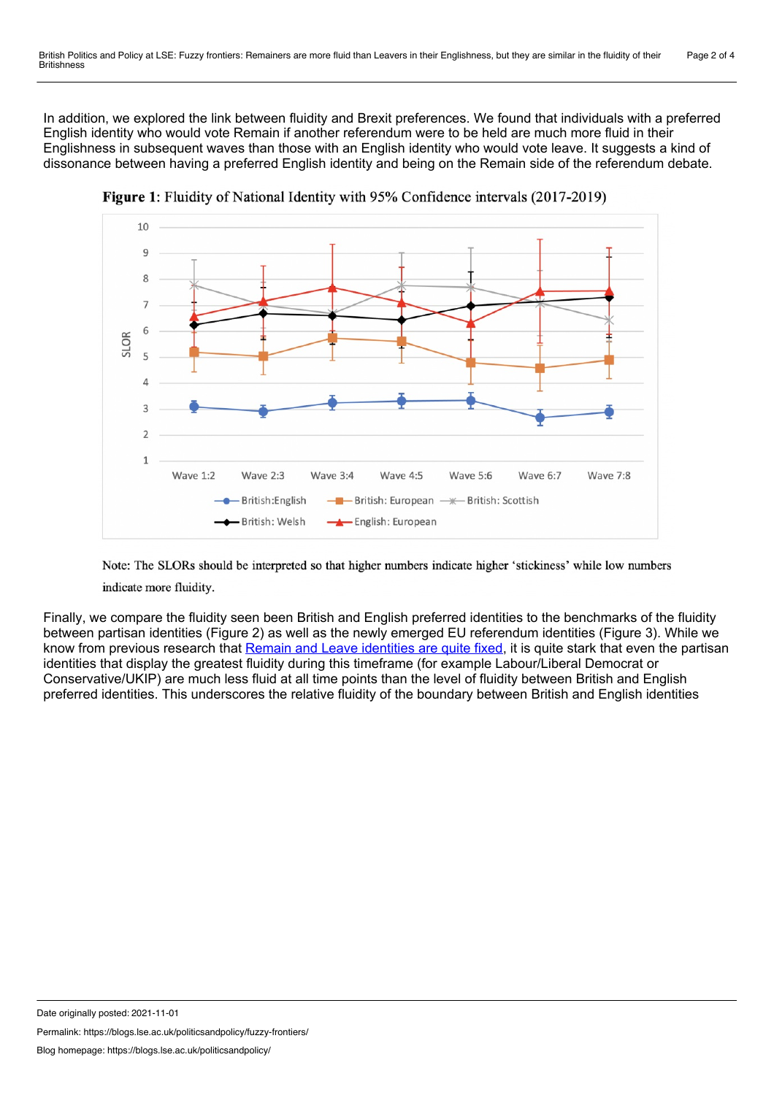In addition, we explored the link between fluidity and Brexit preferences. We found that individuals with a preferred English identity who would vote Remain if another referendum were to be held are much more fluid in their Englishness in subsequent waves than those with an English identity who would vote leave. It suggests a kind of dissonance between having a preferred English identity and being on the Remain side of the referendum debate.



**Figure 1:** Fluidity of National Identity with 95% Confidence intervals (2017-2019)

Note: The SLORs should be interpreted so that higher numbers indicate higher 'stickiness' while low numbers indicate more fluidity.

Finally, we compare the fluidity seen been British and English preferred identities to the benchmarks of the fluidity between partisan identities (Figure 2) as well as the newly emerged EU referendum identities (Figure 3). While we know from previous research that Remain and Leave [identities](https://ukandeu.ac.uk/wp-content/uploads/2019/01/Public-opinion-2019.pdf) are quite fixed, it is quite stark that even the partisan identities that display the greatest fluidity during this timeframe (for example Labour/Liberal Democrat or Conservative/UKIP) are much less fluid at all time points than the level of fluidity between British and English preferred identities. This underscores the relative fluidity of the boundary between British and English identities

Date originally posted: 2021-11-01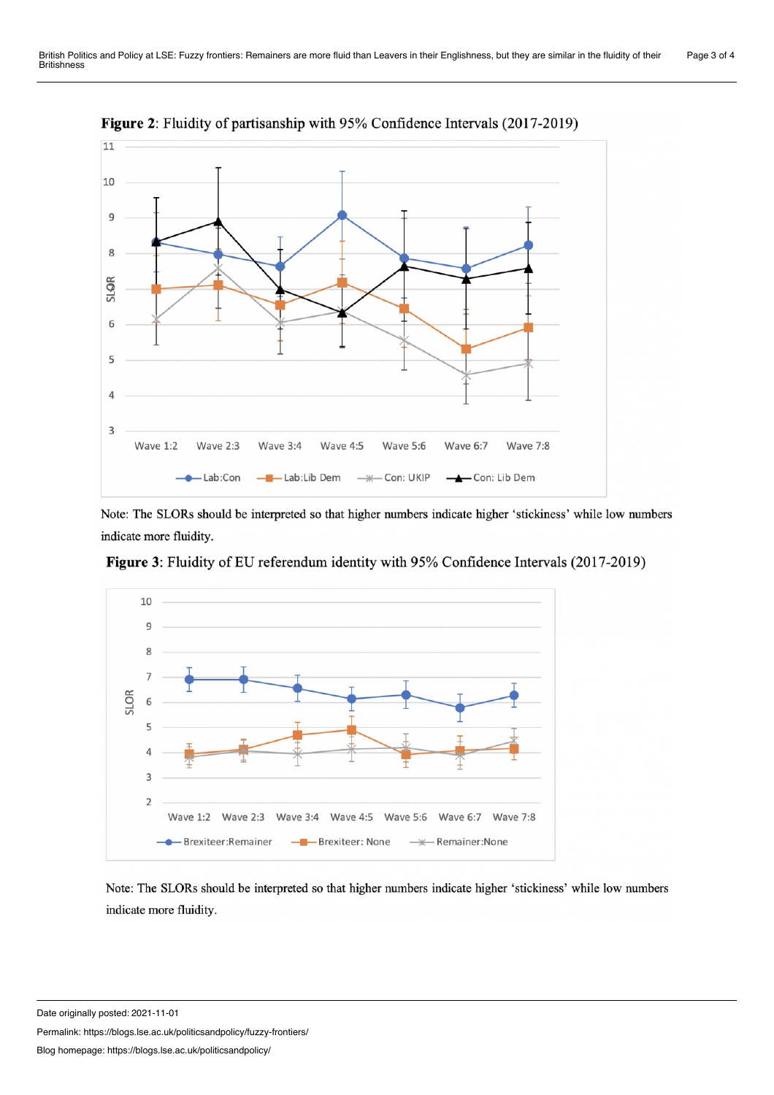

Figure 2: Fluidity of partisanship with 95% Confidence Intervals (2017-2019)

Note: The SLORs should be interpreted so that higher numbers indicate higher 'stickiness' while low numbers indicate more fluidity.



Figure 3: Fluidity of EU referendum identity with 95% Confidence Intervals (2017-2019)

Note: The SLORs should be interpreted so that higher numbers indicate higher 'stickiness' while low numbers indicate more fluidity.

Date originally posted: 2021-11-01